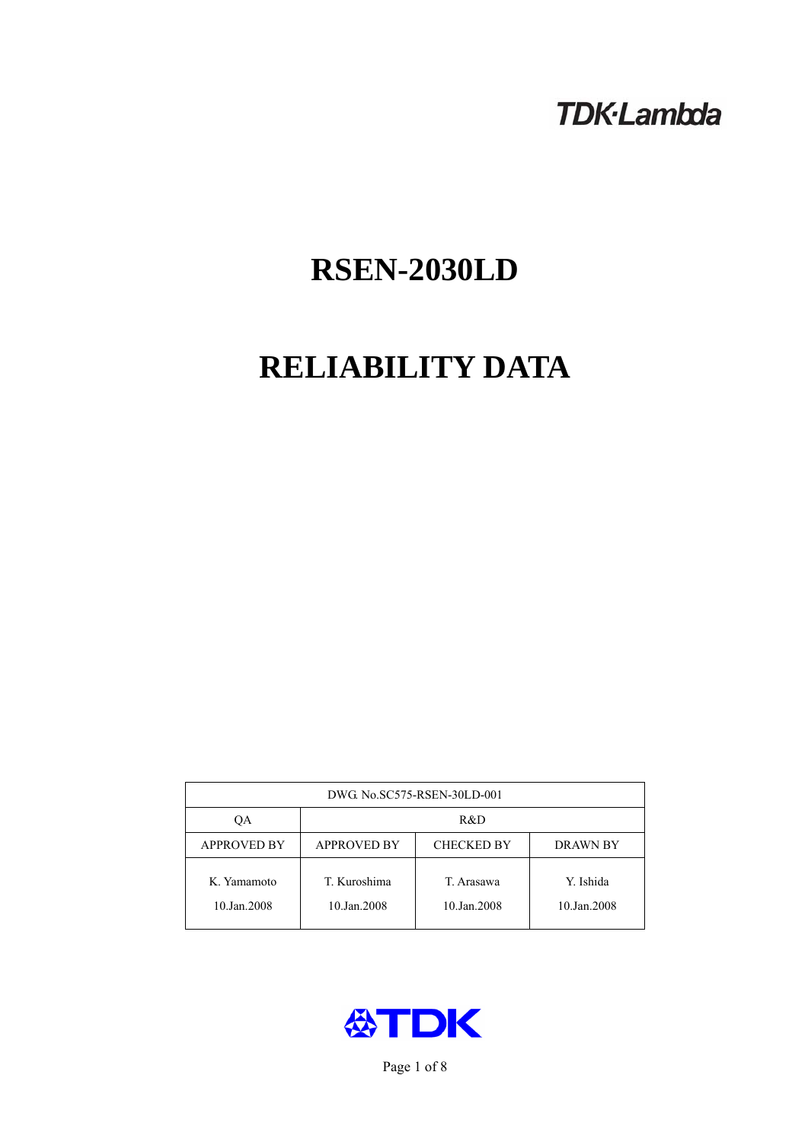## **TDK-Lambda**

# **RSEN-2030LD**

# **RELIABILITY DATA**

| DWG. No.SC575-RSEN-30LD-001 |                                                            |                           |                          |  |  |
|-----------------------------|------------------------------------------------------------|---------------------------|--------------------------|--|--|
| ОA                          | R&D                                                        |                           |                          |  |  |
| <b>APPROVED BY</b>          | <b>APPROVED BY</b><br><b>CHECKED BY</b><br><b>DRAWN BY</b> |                           |                          |  |  |
| K. Yamamoto<br>10.Jan.2008  | T. Kuroshima<br>10.Jan.2008                                | T. Arasawa<br>10.Jan.2008 | Y. Ishida<br>10.Jan.2008 |  |  |



Page 1 of 8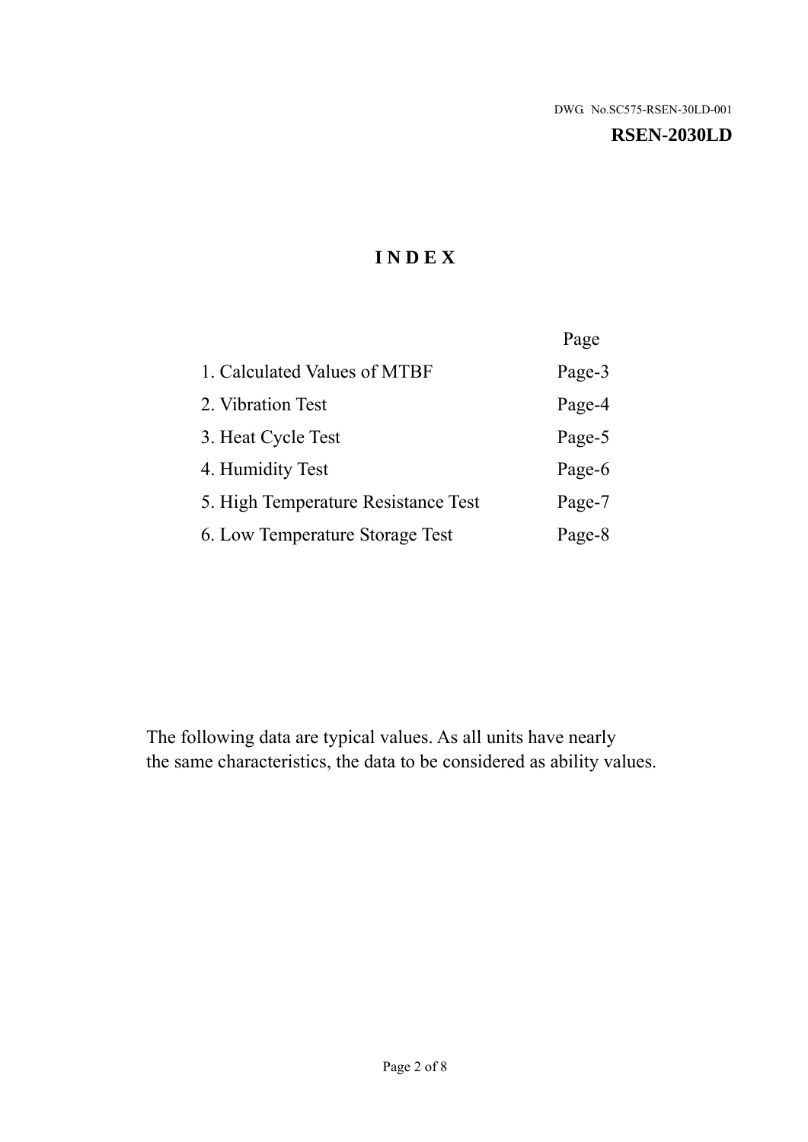#### **RSEN-2030LD**

## **I N D E X**

|                                     | Page   |
|-------------------------------------|--------|
| 1. Calculated Values of MTBF        | Page-3 |
| 2. Vibration Test                   | Page-4 |
| 3. Heat Cycle Test                  | Page-5 |
| 4. Humidity Test                    | Page-6 |
| 5. High Temperature Resistance Test | Page-7 |
| 6. Low Temperature Storage Test     | Page-8 |

The following data are typical values. As all units have nearly the same characteristics, the data to be considered as ability values.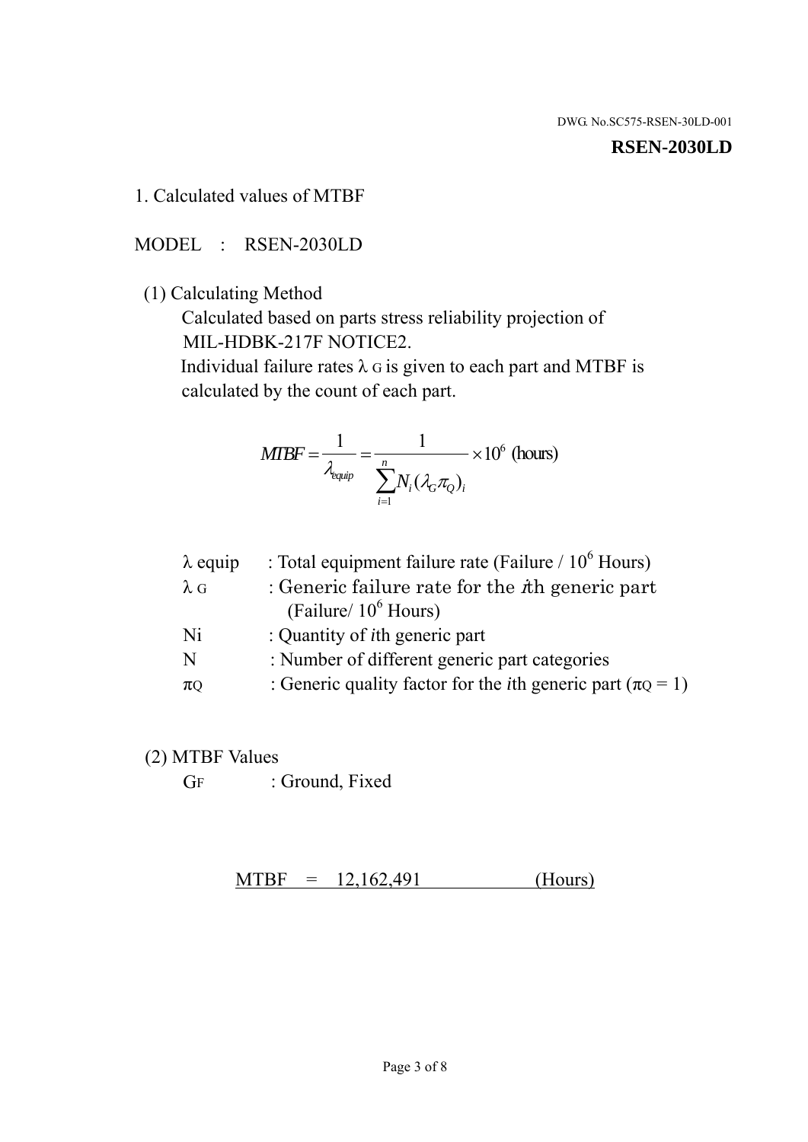#### **RSEN-2030LD**

1. Calculated values of MTBF

MODEL : RSEN-2030LD

(1) Calculating Method

 Calculated based on parts stress reliability projection of MIL-HDBK-217F NOTICE2.

Individual failure rates  $\lambda$  G is given to each part and MTBF is calculated by the count of each part.

$$
MIBF = \frac{1}{\lambda_{\text{equip}}} = \frac{1}{\sum_{i=1}^{n} N_i (\lambda_G \pi_Q)_i} \times 10^6 \text{ (hours)}
$$

| $\lambda$ equip | : Total equipment failure rate (Failure $/ 10^6$ Hours)                   |
|-----------------|---------------------------------------------------------------------------|
| $\lambda$ G     | : Generic failure rate for the $\hbar$ generic part                       |
|                 | (Failure/ $10^6$ Hours)                                                   |
| Ni              | : Quantity of <i>i</i> th generic part                                    |
| N               | : Number of different generic part categories                             |
| $\pi$ Q         | : Generic quality factor for the <i>i</i> th generic part ( $\pi Q = 1$ ) |

- (2) MTBF Values
	- GF : Ground, Fixed

 $MTBF = 12,162,491$  (Hours)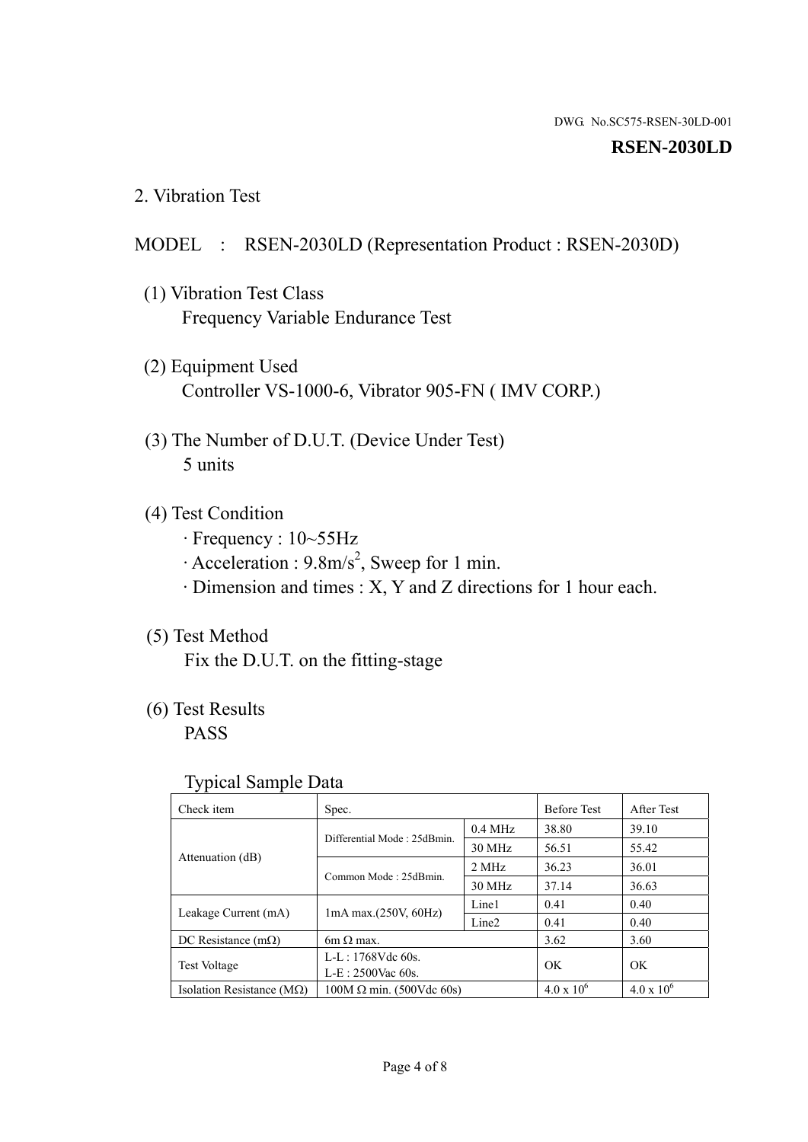#### **RSEN-2030LD**

2. Vibration Test

#### MODEL : RSEN-2030LD (Representation Product : RSEN-2030D)

- (1) Vibration Test Class Frequency Variable Endurance Test
- (2) Equipment Used Controller VS-1000-6, Vibrator 905-FN ( IMV CORP.)
- (3) The Number of D.U.T. (Device Under Test) 5 units
- (4) Test Condition
	- · Frequency : 10~55Hz
	- $\cdot$  Acceleration : 9.8m/s<sup>2</sup>, Sweep for 1 min.
	- · Dimension and times : X, Y and Z directions for 1 hour each.

## (5) Test Method

Fix the D.U.T. on the fitting-stage

## (6) Test Results

PASS

#### Typical Sample Data

| Check item                         | Spec.                           |                   | <b>Before Test</b>  | After Test          |
|------------------------------------|---------------------------------|-------------------|---------------------|---------------------|
| Attenuation (dB)                   | Differential Mode: 25dBmin.     | $0.4$ MHz         | 38.80               | 39.10               |
|                                    |                                 | 30 MHz            | 56.51               | 55.42               |
|                                    | Common Mode: 25dBmin.           | 2 MHz             | 36.23               | 36.01               |
|                                    |                                 | 30 MHz            | 37.14               | 36.63               |
| Leakage Current (mA)               | 1mA max.(250V, 60Hz)            | Line1             | 0.41                | 0.40                |
|                                    |                                 | Line <sub>2</sub> | 0.41                | 0.40                |
| DC Resistance $(m\Omega)$          | $6m \Omega$ max.                |                   | 3.62                | 3.60                |
| <b>Test Voltage</b>                | $L-L: 1768Vdc$ 60s.             |                   | OK                  | OK.                 |
|                                    | $L-E$ : 2500Vac 60s.            |                   |                     |                     |
| Isolation Resistance ( $M\Omega$ ) | $100M \Omega$ min. (500Vdc 60s) |                   | $4.0 \times 10^{6}$ | $4.0 \times 10^{6}$ |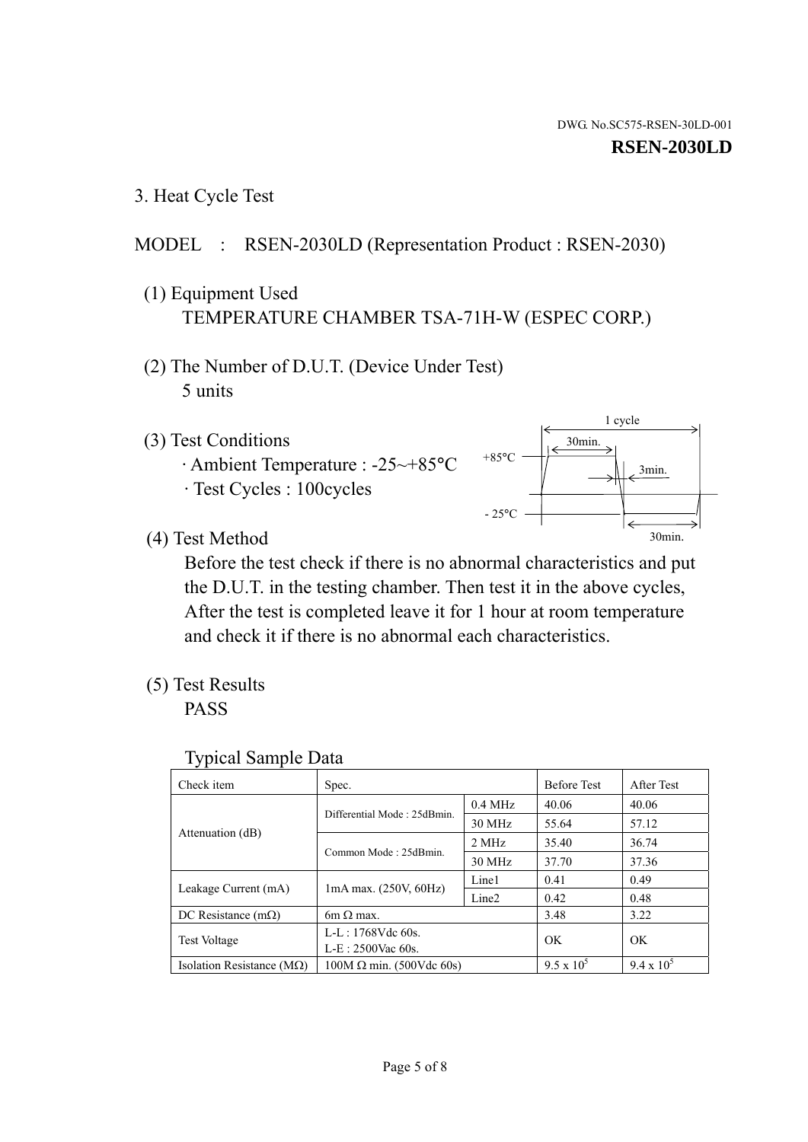1 cycle

30min.

3min.

30min.

3. Heat Cycle Test

## MODEL : RSEN-2030LD (Representation Product : RSEN-2030)

- (1) Equipment Used TEMPERATURE CHAMBER TSA-71H-W (ESPEC CORP.)
- (2) The Number of D.U.T. (Device Under Test) 5 units
- (3) Test Conditions
	- · Ambient Temperature : -25~+85°C · Test Cycles : 100cycles
- (4) Test Method

 Before the test check if there is no abnormal characteristics and put the D.U.T. in the testing chamber. Then test it in the above cycles, After the test is completed leave it for 1 hour at room temperature and check it if there is no abnormal each characteristics.

+85°C

 $-25^{\circ}$ C

(5) Test Results

PASS

| <b>Typical Sample Data</b> |  |  |
|----------------------------|--|--|
|----------------------------|--|--|

| Check item                    | Spec.                           |                   | <b>Before Test</b> | After Test        |
|-------------------------------|---------------------------------|-------------------|--------------------|-------------------|
|                               | Differential Mode: 25dBmin.     | $0.4$ MHz         | 40.06              | 40.06             |
|                               |                                 | 30 MHz            | 55.64              | 57.12             |
| Attenuation (dB)              | Common Mode: 25dBmin.           | 2 MHz             | 35.40              | 36.74             |
|                               |                                 | 30 MHz            | 37.70              | 37.36             |
|                               |                                 | Line1             | 0.41               | 0.49              |
| Leakage Current (mA)          | $1mA$ max. $(250V, 60Hz)$       | Line <sub>2</sub> | 0.42               | 0.48              |
| DC Resistance $(m\Omega)$     | $6m \Omega$ max.                |                   | 3.48               | 3.22              |
| <b>Test Voltage</b>           | $L-L: 1768Vdc$ 60s.             |                   | OK                 | OK                |
|                               | $L-E$ : 2500Vac 60s.            |                   |                    |                   |
| Isolation Resistance ( $MQ$ ) | $100M \Omega$ min. (500Vdc 60s) |                   | $9.5 \times 10^5$  | $9.4 \times 10^5$ |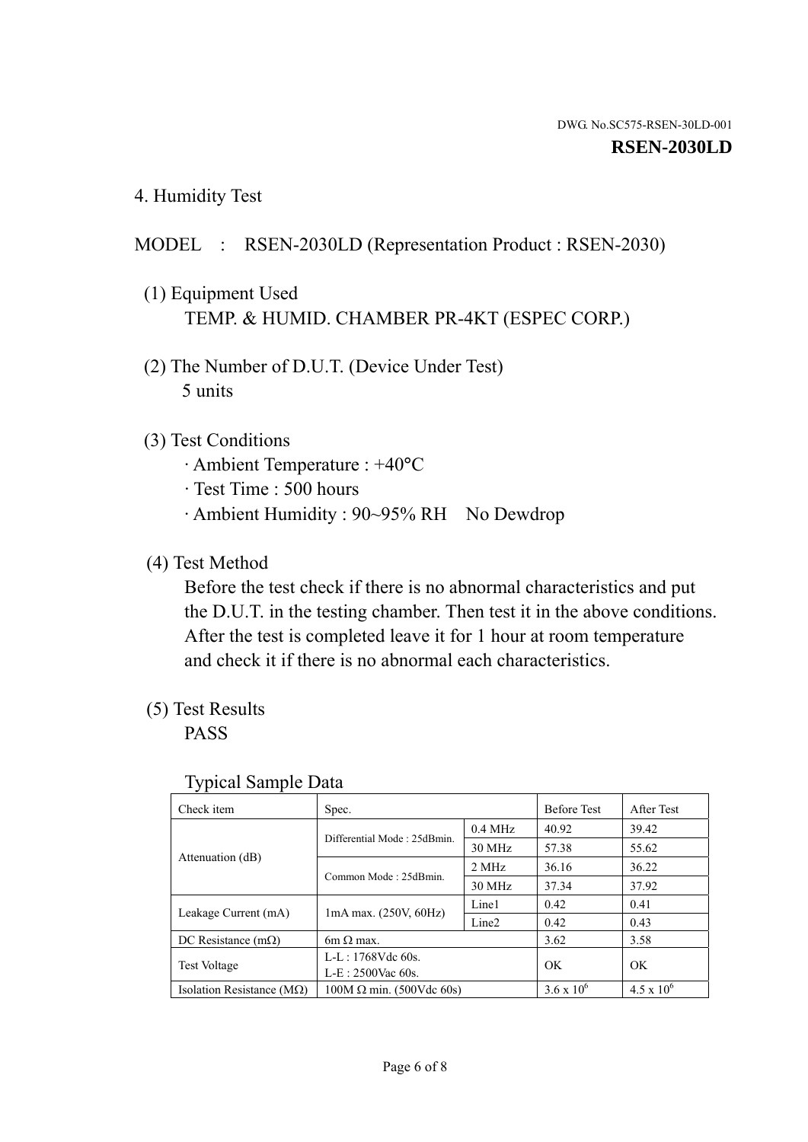4. Humidity Test

## MODEL : RSEN-2030LD (Representation Product : RSEN-2030)

- (1) Equipment Used TEMP. & HUMID. CHAMBER PR-4KT (ESPEC CORP.)
- (2) The Number of D.U.T. (Device Under Test) 5 units

## (3) Test Conditions

- · Ambient Temperature : +40°C
- · Test Time : 500 hours
- · Ambient Humidity : 90~95% RH No Dewdrop

## (4) Test Method

 Before the test check if there is no abnormal characteristics and put the D.U.T. in the testing chamber. Then test it in the above conditions. After the test is completed leave it for 1 hour at room temperature and check it if there is no abnormal each characteristics.

## (5) Test Results

PASS

| . .                                |                                 |                   |                     |                     |
|------------------------------------|---------------------------------|-------------------|---------------------|---------------------|
| Check item                         | Spec.                           |                   | <b>Before Test</b>  | After Test          |
|                                    | Differential Mode: 25dBmin.     | $0.4$ MHz         | 40.92               | 39.42               |
|                                    |                                 | 30 MHz            | 57.38               | 55.62               |
| Attenuation (dB)                   | Common Mode: 25dBmin.           | 2 MHz             | 36.16               | 36.22               |
|                                    |                                 | 30 MHz            | 37.34               | 37.92               |
| Leakage Current (mA)               | $1mA$ max. $(250V, 60Hz)$       | Line1             | 0.42                | 0.41                |
|                                    |                                 | Line <sub>2</sub> | 0.42                | 0.43                |
| DC Resistance $(m\Omega)$          | $6m \Omega$ max.                |                   | 3.62                | 3.58                |
| <b>Test Voltage</b>                | $L-L: 1768Vdc$ 60s.             |                   | OK                  | OK                  |
|                                    | $L-E$ : 2500Vac 60s.            |                   |                     |                     |
| Isolation Resistance ( $M\Omega$ ) | $100M \Omega$ min. (500Vdc 60s) |                   | $3.6 \times 10^{6}$ | $4.5 \times 10^{6}$ |

#### Typical Sample Data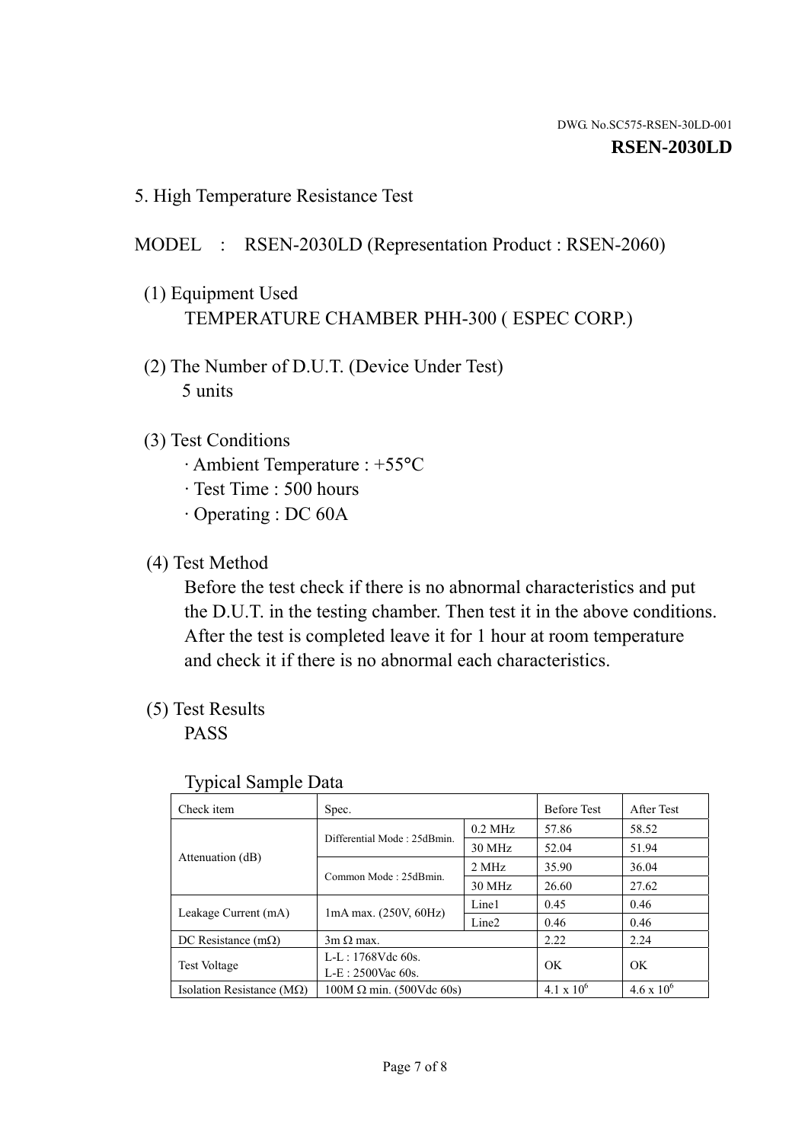5. High Temperature Resistance Test

### MODEL : RSEN-2030LD (Representation Product : RSEN-2060)

- (1) Equipment Used TEMPERATURE CHAMBER PHH-300 ( ESPEC CORP.)
- (2) The Number of D.U.T. (Device Under Test) 5 units
- (3) Test Conditions
	- · Ambient Temperature : +55°C
	- · Test Time : 500 hours
	- · Operating : DC 60A
- (4) Test Method

 Before the test check if there is no abnormal characteristics and put the D.U.T. in the testing chamber. Then test it in the above conditions. After the test is completed leave it for 1 hour at room temperature and check it if there is no abnormal each characteristics.

(5) Test Results

PASS

| . .                                |                                 |                   |                     |                     |
|------------------------------------|---------------------------------|-------------------|---------------------|---------------------|
| Check item                         | Spec.                           |                   | <b>Before Test</b>  | After Test          |
| Attenuation (dB)                   | Differential Mode: 25dBmin.     | $0.2$ MHz         | 57.86               | 58.52               |
|                                    |                                 | 30 MHz            | 52.04               | 51.94               |
|                                    | Common Mode: 25dBmin.           | 2 MHz             | 35.90               | 36.04               |
|                                    |                                 | 30 MHz            | 26.60               | 27.62               |
| Leakage Current (mA)               | $1mA$ max. $(250V, 60Hz)$       | Line1             | 0.45                | 0.46                |
|                                    |                                 | Line <sub>2</sub> | 0.46                | 0.46                |
| DC Resistance $(m\Omega)$          | $3m \Omega$ max.                |                   | 2.22                | 2.24                |
| <b>Test Voltage</b>                | $L-L: 1768Vdc$ 60s.             |                   | OK                  | OK                  |
|                                    | $L-E$ : 2500Vac 60s.            |                   |                     |                     |
| Isolation Resistance ( $M\Omega$ ) | $100M \Omega$ min. (500Vdc 60s) |                   | $4.1 \times 10^{6}$ | $4.6 \times 10^{6}$ |

#### Typical Sample Data